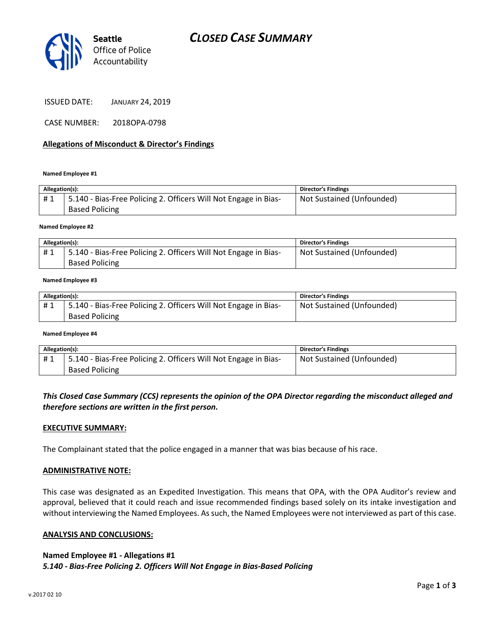



ISSUED DATE: JANUARY 24, 2019

CASE NUMBER: 2018OPA-0798

## Allegations of Misconduct & Director's Findings

### Named Employee #1

| Allegation(s): |                                                                 | <b>Director's Findings</b> |
|----------------|-----------------------------------------------------------------|----------------------------|
| #1             | 5.140 - Bias-Free Policing 2. Officers Will Not Engage in Bias- | Not Sustained (Unfounded)  |
|                | <b>Based Policing</b>                                           |                            |
|                |                                                                 |                            |

### Named Employee #2

| Allegation(s): |                                                                 | <b>Director's Findings</b> |
|----------------|-----------------------------------------------------------------|----------------------------|
| #1             | 5.140 - Bias-Free Policing 2. Officers Will Not Engage in Bias- | Not Sustained (Unfounded)  |
|                | <b>Based Policing</b>                                           |                            |

#### Named Employee #3

| Allegation(s): |                                                                 | <b>Director's Findings</b> |
|----------------|-----------------------------------------------------------------|----------------------------|
| #1             | 5.140 - Bias-Free Policing 2. Officers Will Not Engage in Bias- | Not Sustained (Unfounded)  |
|                | <b>Based Policing</b>                                           |                            |

### Named Employee #4

| Allegation(s): |                                                                 | <b>Director's Findings</b> |
|----------------|-----------------------------------------------------------------|----------------------------|
| #1             | 5.140 - Bias-Free Policing 2. Officers Will Not Engage in Bias- | Not Sustained (Unfounded)  |
|                | <b>Based Policing</b>                                           |                            |

## This Closed Case Summary (CCS) represents the opinion of the OPA Director regarding the misconduct alleged and therefore sections are written in the first person.

## EXECUTIVE SUMMARY:

The Complainant stated that the police engaged in a manner that was bias because of his race.

## ADMINISTRATIVE NOTE:

This case was designated as an Expedited Investigation. This means that OPA, with the OPA Auditor's review and approval, believed that it could reach and issue recommended findings based solely on its intake investigation and without interviewing the Named Employees. As such, the Named Employees were not interviewed as part of this case.

## ANALYSIS AND CONCLUSIONS:

## Named Employee #1 - Allegations #1 5.140 - Bias-Free Policing 2. Officers Will Not Engage in Bias-Based Policing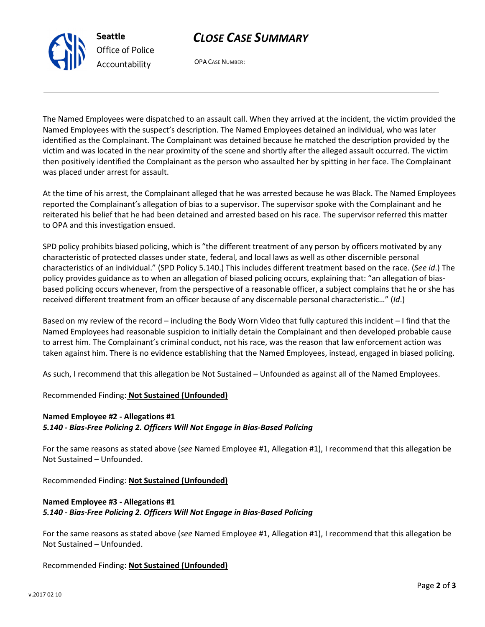# CLOSE CASE SUMMARY



OPA CASE NUMBER:

The Named Employees were dispatched to an assault call. When they arrived at the incident, the victim provided the Named Employees with the suspect's description. The Named Employees detained an individual, who was later identified as the Complainant. The Complainant was detained because he matched the description provided by the victim and was located in the near proximity of the scene and shortly after the alleged assault occurred. The victim then positively identified the Complainant as the person who assaulted her by spitting in her face. The Complainant was placed under arrest for assault.

At the time of his arrest, the Complainant alleged that he was arrested because he was Black. The Named Employees reported the Complainant's allegation of bias to a supervisor. The supervisor spoke with the Complainant and he reiterated his belief that he had been detained and arrested based on his race. The supervisor referred this matter to OPA and this investigation ensued.

SPD policy prohibits biased policing, which is "the different treatment of any person by officers motivated by any characteristic of protected classes under state, federal, and local laws as well as other discernible personal characteristics of an individual." (SPD Policy 5.140.) This includes different treatment based on the race. (See id.) The policy provides guidance as to when an allegation of biased policing occurs, explaining that: "an allegation of biasbased policing occurs whenever, from the perspective of a reasonable officer, a subject complains that he or she has received different treatment from an officer because of any discernable personal characteristic…" (Id.)

Based on my review of the record – including the Body Worn Video that fully captured this incident – I find that the Named Employees had reasonable suspicion to initially detain the Complainant and then developed probable cause to arrest him. The Complainant's criminal conduct, not his race, was the reason that law enforcement action was taken against him. There is no evidence establishing that the Named Employees, instead, engaged in biased policing.

As such, I recommend that this allegation be Not Sustained – Unfounded as against all of the Named Employees.

# Recommended Finding: Not Sustained (Unfounded)

# Named Employee #2 - Allegations #1 5.140 - Bias-Free Policing 2. Officers Will Not Engage in Bias-Based Policing

For the same reasons as stated above (see Named Employee #1, Allegation #1), I recommend that this allegation be Not Sustained – Unfounded.

Recommended Finding: Not Sustained (Unfounded)

# Named Employee #3 - Allegations #1 5.140 - Bias-Free Policing 2. Officers Will Not Engage in Bias-Based Policing

For the same reasons as stated above (see Named Employee #1, Allegation #1), I recommend that this allegation be Not Sustained – Unfounded.

# Recommended Finding: Not Sustained (Unfounded)